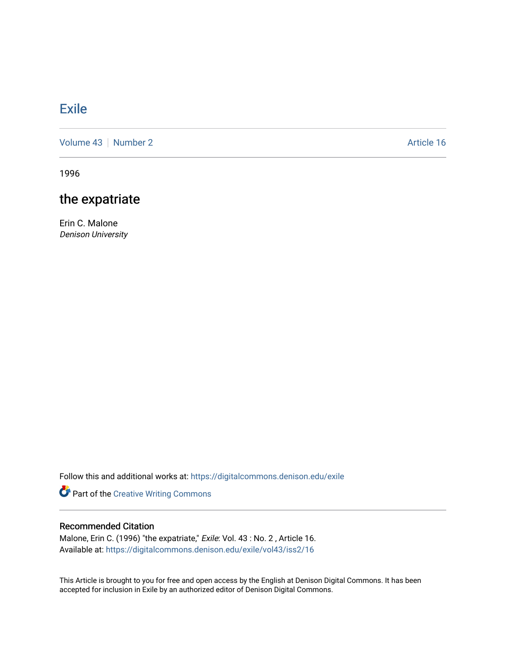# [Exile](https://digitalcommons.denison.edu/exile)

[Volume 43](https://digitalcommons.denison.edu/exile/vol43) | [Number 2](https://digitalcommons.denison.edu/exile/vol43/iss2) Article 16

1996

# the expatriate

Erin C. Malone Denison University

Follow this and additional works at: [https://digitalcommons.denison.edu/exile](https://digitalcommons.denison.edu/exile?utm_source=digitalcommons.denison.edu%2Fexile%2Fvol43%2Fiss2%2F16&utm_medium=PDF&utm_campaign=PDFCoverPages) 

Part of the [Creative Writing Commons](http://network.bepress.com/hgg/discipline/574?utm_source=digitalcommons.denison.edu%2Fexile%2Fvol43%2Fiss2%2F16&utm_medium=PDF&utm_campaign=PDFCoverPages) 

# Recommended Citation

Malone, Erin C. (1996) "the expatriate," Exile: Vol. 43 : No. 2 , Article 16. Available at: [https://digitalcommons.denison.edu/exile/vol43/iss2/16](https://digitalcommons.denison.edu/exile/vol43/iss2/16?utm_source=digitalcommons.denison.edu%2Fexile%2Fvol43%2Fiss2%2F16&utm_medium=PDF&utm_campaign=PDFCoverPages)

This Article is brought to you for free and open access by the English at Denison Digital Commons. It has been accepted for inclusion in Exile by an authorized editor of Denison Digital Commons.